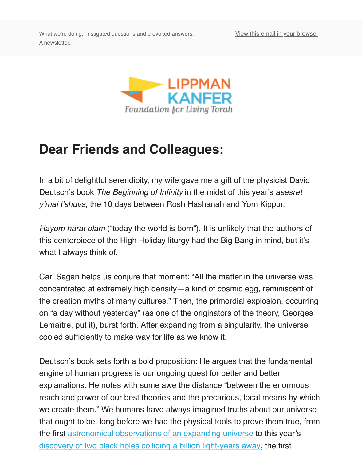

## **Dear Friends and Colleagues:**

In a bit of delightful serendipity, my wife gave me a gift of the physicist David Deutsch's book *The Beginning of Infinity* in the midst of this year's *asesret y'mai t'shuva*, the 10 days between Rosh Hashanah and Yom Kippur.

*Hayom harat olam* ("today the world is born"). It is unlikely that the authors of this centerpiece of the High Holiday liturgy had the Big Bang in mind, but it's what I always think of.

Carl Sagan helps us conjure that moment: "All the matter in the universe was concentrated at extremely high density—a kind of cosmic egg, reminiscent of the creation myths of many cultures." Then, the primordial explosion, occurring on "a day without yesterday" (as one of the originators of the theory, George Lemaître, put it), burst forth. After expanding from a singularity, the universe cooled sufficiently to make way for life as we know it.

Deutsch's book sets forth a bold proposition: He argues that the fundamental engine of human progress is our ongoing quest for better and better explanations. He notes with some awe the distance "between the enormous reach and power of our best theories and the precarious, local means by wh we create them." We humans have always imagined truths about our univer that ought to be, long before we had the physical tools to prove them true, form the first astronomical observations of an expanding universe to this year's discovery of two black holes colliding a billion light-years away, the first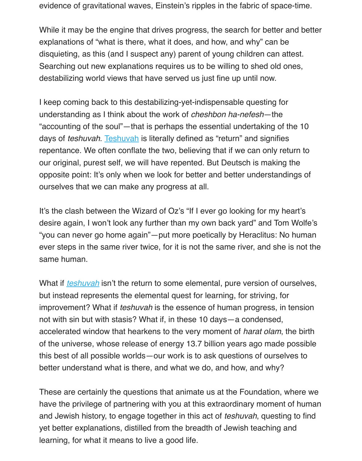Searching out new explanations requires us to be willing to shed old ones, destabilizing world views that have served us just fine up until now.

I keep coming back to this destabilizing-yet-indispensable questing for understanding as I think about the work of *cheshbon ha-nefesh*—the "accounting of the soul"—that is perhaps the essential undertaking of the 10 days of *teshuvah*. Teshuvah is literally defined as "return" and signifies repentance. We often conflate the two, believing that if we can only return to our original, purest self, we will have repented. But Deutsch is making the opposite point: It's only when we look for better and better understandings of ourselves that we can make any progress at all.

It's the clash between the Wizard of Oz's "If I ever go looking for my heart's desire again, I won't look any further than my own back yard" and Tom Wolf "you can never go home again"—put more poetically by Heraclitus: No hum ever steps in the same river twice, for it is not the same river, and she is not same human.

What if *teshuvah* isn't the return to some elemental, pure version of ourselve but instead represents the elemental quest for learning, for striving, for improvement? What if *teshuvah* is the essence of human progress, in tension not with sin but with stasis? What if, in these 10 days—a condensed, accelerated window that hearkens to the very moment of *harat olam*, the bir of the u[niverse, w](https://lkflt.wordpress.com/our-work/jewish-sensibilities/teshuvah/)hose release of energy 13.7 billion years ago made possiblethis best of all possible worlds—our work is to ask questions of ourselves to better understand what is there, and what we do, and how, and why?

These are certainly the questions that animate us at the Foundation, where have the privilege of partnering with you at this extraordinary moment of hure and Jewish history, to engage together in this act of *teshuvah*, questing to fin yet better explanations, distilled from the breadth of Jewish teaching and learning, for what it means to live a good life.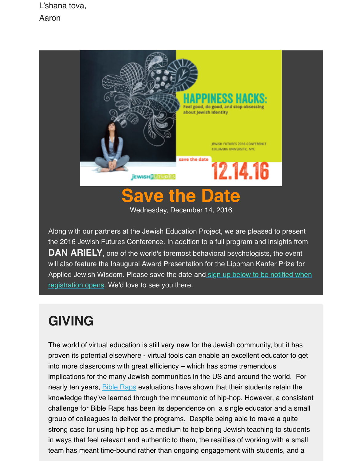

## **the Date**

Wednesday, December 14, 2016

Along with our partners at the Jewish Education Project, we are pleased to present the 2016 Jewish Futures Conference. In addition to a full program and insights from **DAN ARIELY**, one of the world's foremost behavioral psychologists, the event will also feature the Inaugural Award Presentation for the Lippman Kanfer Prize for Applied Jewish Wisdom. Please save the date and sign up below to be notified whe registration opens. We'd love to see you there.

## **GIVING**

[The world of virtual education is still very new for the Jewish community, but it has](https://docs.google.com/forms/d/e/1FAIpQLSfXLVyLkAB0WIhHXeqggBOBE6xH8liWPEGqX1Ngq9PqoZlidQ/viewform) proven its potential elsewhere - virtual tools can enable an excellent educator to get into more classrooms with great efficiency – which has some tremendous implications for the many Jewish communities in the US and around the world. For nearly ten years, **Bible Raps** evaluations have shown that their students retain the knowledge they've learned through the mneumonic of hip-hop. However, a consiste challenge for Bible Raps has been its dependence on a single educator and a small group of colleagues to deliver the programs. Despite being able to make a quite strong case for using hip hop as a medium to help bring Jewish teaching to students in ways that feel relevant and authentic to them, the realities of working with a small team has meant [time-bound](http://www.biblerapsnation.com/) rather than ongoing engagement with students, and a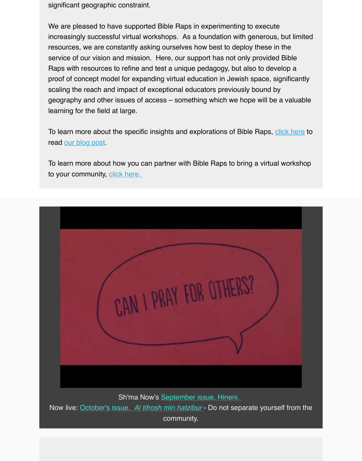Raps with resources to refine and test a unique pedagogy, but also to develop a proof of concept model for expanding virtual education in Jewish space, significantly scaling the reach and impact of exceptional educators previously bound by geography and other issues of access – something which we hope will be a valuabl learning for the field at large.

To learn more about the specific insights and explorations of Bible Raps, click here read our blog post.

To learn more about how you can partner with Bible Raps to bring a virtual worksho to your community, click here.

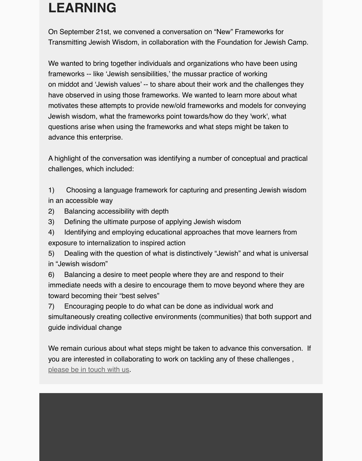We wanted to bring together individuals and organizations who have been using frameworks -- like 'Jewish sensibilities,' the mussar practice of working on middot and 'Jewish values' -- to share about their work and the challenges they have observed in using those frameworks. We wanted to learn more about what motivates these attempts to provide new/old frameworks and models for conveying Jewish wisdom, what the frameworks point towards/how do they 'work', what questions arise when using the frameworks and what steps might be taken to advance this enterprise.

A highlight of the conversation was identifying a number of conceptual and practical challenges, which included:

1) Choosing a language framework for capturing and presenting Jewish wisdom in an accessible way

- 2) Balancing accessibility with depth
- 3) Defining the ultimate purpose of applying Jewish wisdom
- 4) Identifying and employing educational approaches that move learners from exposure to internalization to inspired action

5) Dealing with the question of what is distinctively "Jewish" and what is universal in "Jewish wisdom"

6) Balancing a desire to meet people where they are and respond to their immediate needs with a desire to encourage them to move beyond where they are toward becoming their "best selves"

7) Encouraging people to do what can be done as individual work and simultaneously creating collective environments (communities) that both support an guide individual change

We remain curious about what steps might be taken to advance this conversation. you are interested in collaborating to work on tackling any of these challenges , please be in touch with us.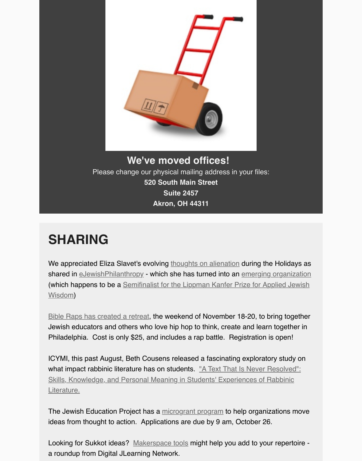

Please change our physical mailing address in your files: **520 South Main Street Suite 2457 Akron, OH 44311**

## **SHARING**

We appreciated Eliza Slavet's evolving thoughts on alienation during the Holidays a shared in eJewishPhilanthropy - which she has turned into an emerging organization (which happens to be a Semifinalist for the Lippman Kanfer Prize for Applied Jewish Wisdom)

Bible Raps has created a retreat, the weekend of November 18-20, to bring together Jewish educators and others who love [hip hop to think, create](http://ejewishphilanthropy.com/welcoming-the-new-year-and-the-strangers-in-our-midst/?utm_source=Tue+Oct+11n**&utm_campaign=Tue+Oct+11&utm_medium=email) and learn together in Philadelp[hia. Cost is only \\$25,](http://ejewishphilanthropy.com/) and includes a rap battle. Re[gistration is open!](https://www.grapejuice.buzz/1/about-us)

[ICYMI, this past August, Beth Cousens released a fascinating exploratory study on](http://lippmankanferprize.org/profile/?profile=grapejuice&entryid=500) what impact rabbinic literature has on students. "A Text That Is Never Resolved": [Skills, Knowledge, and Personal](http://www.biblerapsnation.com/retreat.html) Meaning in Students' Experiences of Rabbinic Literature.

The Jewish Education Project has a microgrant program to help organizations move ideas from thought to action. Applications are due by 9 am, October 26.

[Looking for Sukkot ideas? Makerspace tools might help you add to your repertoir](http://www.brandeis.edu/mandel/pdfs/2016-09-Text-Never-Resolved.pdf)e a roundup from Digital JLearning Network.